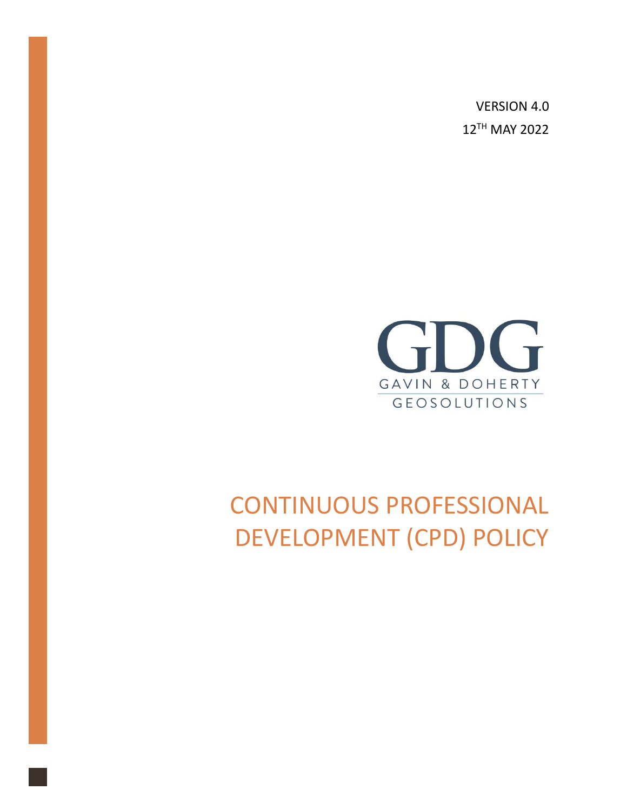VERSION 4.0 12TH MAY 2022



# CONTINUOUS PROFESSIONAL DEVELOPMENT (CPD) POLICY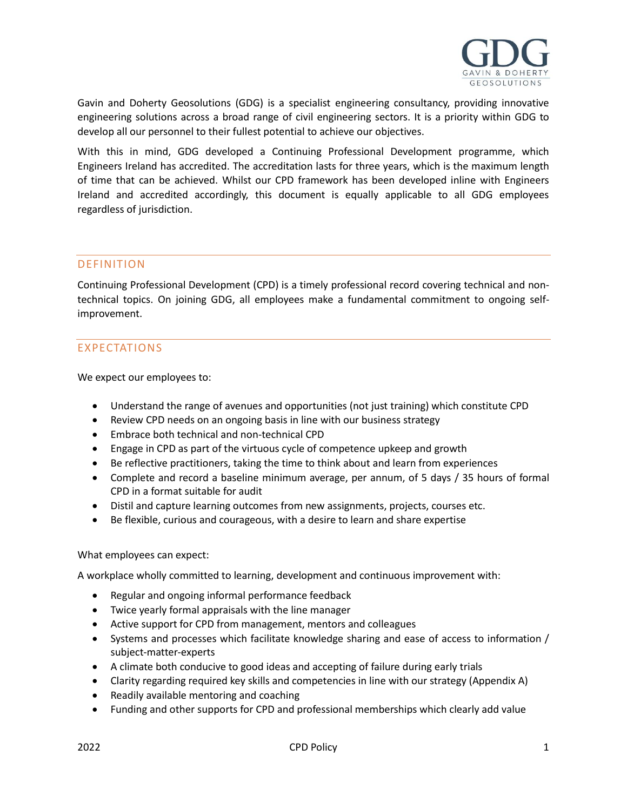

Gavin and Doherty Geosolutions (GDG) is a specialist engineering consultancy, providing innovative engineering solutions across a broad range of civil engineering sectors. It is a priority within GDG to develop all our personnel to their fullest potential to achieve our objectives.

With this in mind, GDG developed a Continuing Professional Development programme, which Engineers Ireland has accredited. The accreditation lasts for three years, which is the maximum length of time that can be achieved. Whilst our CPD framework has been developed inline with Engineers Ireland and accredited accordingly, this document is equally applicable to all GDG employees regardless of jurisdiction.

### DEFINITION

Continuing Professional Development (CPD) is a timely professional record covering technical and nontechnical topics. On joining GDG, all employees make a fundamental commitment to ongoing selfimprovement.

## EXPECTATIONS

We expect our employees to:

- Understand the range of avenues and opportunities (not just training) which constitute CPD
- Review CPD needs on an ongoing basis in line with our business strategy
- Embrace both technical and non-technical CPD
- Engage in CPD as part of the virtuous cycle of competence upkeep and growth
- Be reflective practitioners, taking the time to think about and learn from experiences
- Complete and record a baseline minimum average, per annum, of 5 days / 35 hours of formal CPD in a format suitable for audit
- Distil and capture learning outcomes from new assignments, projects, courses etc.
- Be flexible, curious and courageous, with a desire to learn and share expertise

#### What employees can expect:

A workplace wholly committed to learning, development and continuous improvement with:

- Regular and ongoing informal performance feedback
- Twice yearly formal appraisals with the line manager
- Active support for CPD from management, mentors and colleagues
- Systems and processes which facilitate knowledge sharing and ease of access to information / subject-matter-experts
- A climate both conducive to good ideas and accepting of failure during early trials
- Clarity regarding required key skills and competencies in line with our strategy (Appendix A)
- Readily available mentoring and coaching
- Funding and other supports for CPD and professional memberships which clearly add value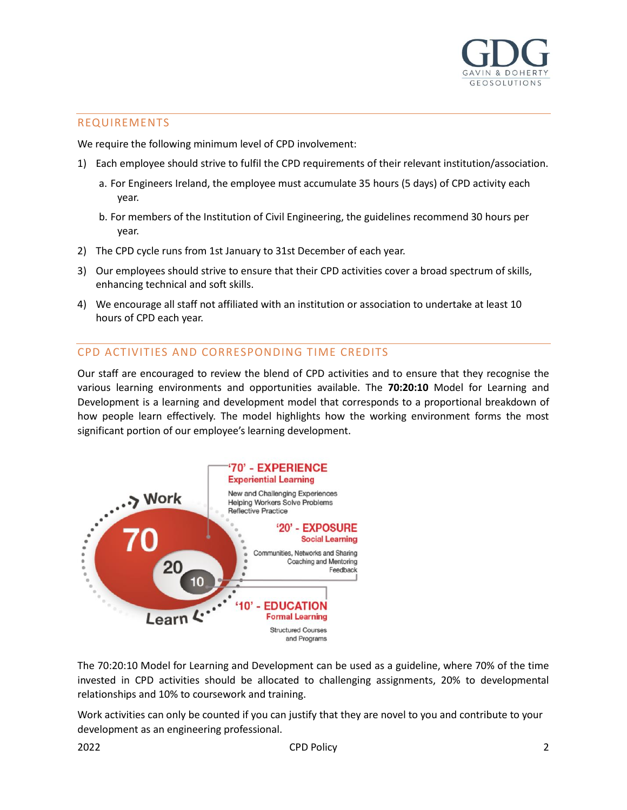

#### REQUIREMENTS

We require the following minimum level of CPD involvement:

- 1) Each employee should strive to fulfil the CPD requirements of their relevant institution/association.
	- a. For Engineers Ireland, the employee must accumulate 35 hours (5 days) of CPD activity each year.
	- b. For members of the Institution of Civil Engineering, the guidelines recommend 30 hours per year.
- 2) The CPD cycle runs from 1st January to 31st December of each year.
- 3) Our employees should strive to ensure that their CPD activities cover a broad spectrum of skills, enhancing technical and soft skills.
- 4) We encourage all staff not affiliated with an institution or association to undertake at least 10 hours of CPD each year.

## CPD ACTIVITIES AND CORRESPONDING TIME CREDITS

Our staff are encouraged to review the blend of CPD activities and to ensure that they recognise the various learning environments and opportunities available. The **70:20:10** Model for Learning and Development is a learning and development model that corresponds to a proportional breakdown of how people learn effectively. The model highlights how the working environment forms the most significant portion of our employee's learning development.



The 70:20:10 Model for Learning and Development can be used as a guideline, where 70% of the time invested in CPD activities should be allocated to challenging assignments, 20% to developmental relationships and 10% to coursework and training.

Work activities can only be counted if you can justify that they are novel to you and contribute to your development as an engineering professional.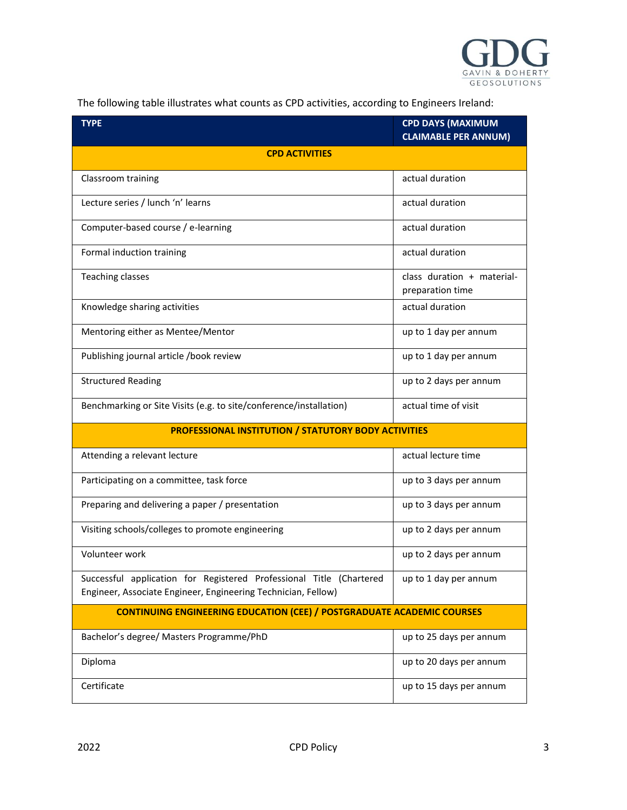

The following table illustrates what counts as CPD activities, according to Engineers Ireland:

| <b>TYPE</b>                                                                                                                          | <b>CPD DAYS (MAXIMUM</b><br><b>CLAIMABLE PER ANNUM)</b> |
|--------------------------------------------------------------------------------------------------------------------------------------|---------------------------------------------------------|
| <b>CPD ACTIVITIES</b>                                                                                                                |                                                         |
| Classroom training                                                                                                                   | actual duration                                         |
| Lecture series / lunch 'n' learns                                                                                                    | actual duration                                         |
| Computer-based course / e-learning                                                                                                   | actual duration                                         |
| Formal induction training                                                                                                            | actual duration                                         |
| <b>Teaching classes</b>                                                                                                              | class duration + material-<br>preparation time          |
| Knowledge sharing activities                                                                                                         | actual duration                                         |
| Mentoring either as Mentee/Mentor                                                                                                    | up to 1 day per annum                                   |
| Publishing journal article /book review                                                                                              | up to 1 day per annum                                   |
| <b>Structured Reading</b>                                                                                                            | up to 2 days per annum                                  |
| Benchmarking or Site Visits (e.g. to site/conference/installation)                                                                   | actual time of visit                                    |
| <b>PROFESSIONAL INSTITUTION / STATUTORY BODY ACTIVITIES</b>                                                                          |                                                         |
| Attending a relevant lecture                                                                                                         | actual lecture time                                     |
| Participating on a committee, task force                                                                                             | up to 3 days per annum                                  |
| Preparing and delivering a paper / presentation                                                                                      | up to 3 days per annum                                  |
| Visiting schools/colleges to promote engineering                                                                                     | up to 2 days per annum                                  |
| Volunteer work                                                                                                                       | up to 2 days per annum                                  |
| Successful application for Registered Professional Title (Chartered<br>Engineer, Associate Engineer, Engineering Technician, Fellow) | up to 1 day per annum                                   |
| <b>CONTINUING ENGINEERING EDUCATION (CEE) / POSTGRADUATE ACADEMIC COURSES</b>                                                        |                                                         |
| Bachelor's degree/ Masters Programme/PhD                                                                                             | up to 25 days per annum                                 |
| Diploma                                                                                                                              | up to 20 days per annum                                 |
| Certificate                                                                                                                          | up to 15 days per annum                                 |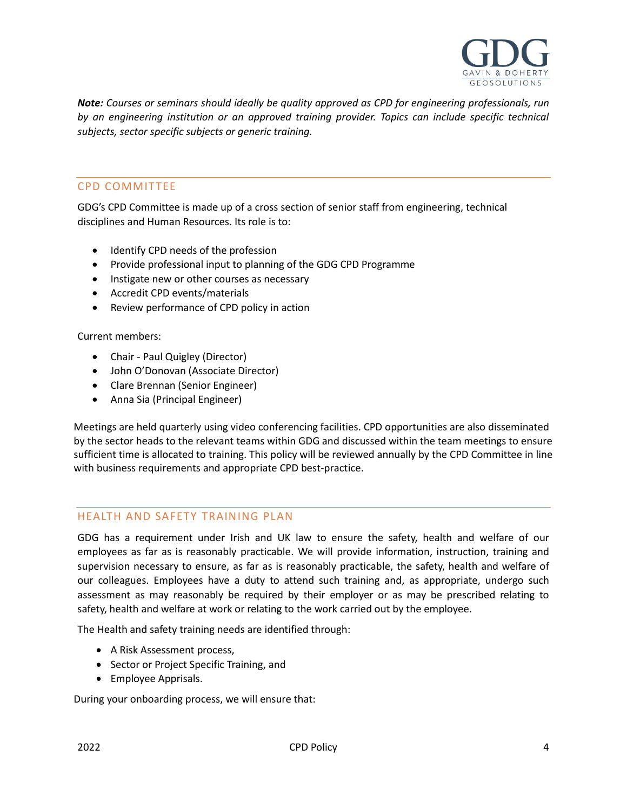

*Note: Courses or seminars should ideally be quality approved as CPD for engineering professionals, run by an engineering institution or an approved training provider. Topics can include specific technical subjects, sector specific subjects or generic training.*

## CPD COMMITTEE

GDG's CPD Committee is made up of a cross section of senior staff from engineering, technical disciplines and Human Resources. Its role is to:

- Identify CPD needs of the profession
- Provide professional input to planning of the GDG CPD Programme
- Instigate new or other courses as necessary
- Accredit CPD events/materials
- Review performance of CPD policy in action

Current members:

- Chair Paul Quigley (Director)
- John O'Donovan (Associate Director)
- Clare Brennan (Senior Engineer)
- Anna Sia (Principal Engineer)

Meetings are held quarterly using video conferencing facilities. CPD opportunities are also disseminated by the sector heads to the relevant teams within GDG and discussed within the team meetings to ensure sufficient time is allocated to training. This policy will be reviewed annually by the CPD Committee in line with business requirements and appropriate CPD best-practice.

#### HEALTH AND SAFETY TRAINING PLAN

GDG has a requirement under Irish and UK law to ensure the safety, health and welfare of our employees as far as is reasonably practicable. We will provide information, instruction, training and supervision necessary to ensure, as far as is reasonably practicable, the safety, health and welfare of our colleagues. Employees have a duty to attend such training and, as appropriate, undergo such assessment as may reasonably be required by their employer or as may be prescribed relating to safety, health and welfare at work or relating to the work carried out by the employee.

The Health and safety training needs are identified through:

- A Risk Assessment process,
- Sector or Project Specific Training, and
- Employee Apprisals.

During your onboarding process, we will ensure that: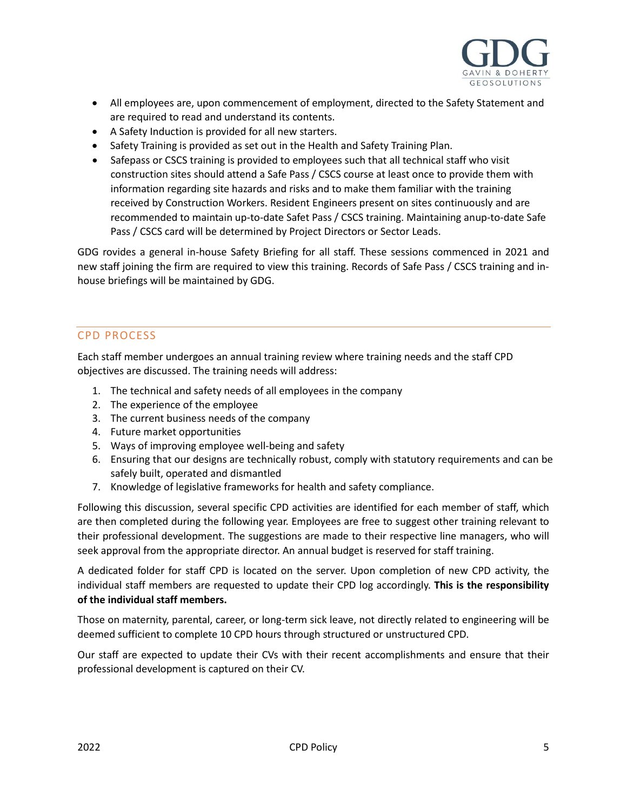

- All employees are, upon commencement of employment, directed to the Safety Statement and are required to read and understand its contents.
- A Safety Induction is provided for all new starters.
- Safety Training is provided as set out in the Health and Safety Training Plan.
- Safepass or CSCS training is provided to employees such that all technical staff who visit construction sites should attend a Safe Pass / CSCS course at least once to provide them with information regarding site hazards and risks and to make them familiar with the training received by Construction Workers. Resident Engineers present on sites continuously and are recommended to maintain up-to-date Safet Pass / CSCS training. Maintaining anup-to-date Safe Pass / CSCS card will be determined by Project Directors or Sector Leads.

GDG rovides a general in-house Safety Briefing for all staff. These sessions commenced in 2021 and new staff joining the firm are required to view this training. Records of Safe Pass / CSCS training and inhouse briefings will be maintained by GDG.

### CPD PROCESS

Each staff member undergoes an annual training review where training needs and the staff CPD objectives are discussed. The training needs will address:

- 1. The technical and safety needs of all employees in the company
- 2. The experience of the employee
- 3. The current business needs of the company
- 4. Future market opportunities
- 5. Ways of improving employee well-being and safety
- 6. Ensuring that our designs are technically robust, comply with statutory requirements and can be safely built, operated and dismantled
- 7. Knowledge of legislative frameworks for health and safety compliance.

Following this discussion, several specific CPD activities are identified for each member of staff, which are then completed during the following year. Employees are free to suggest other training relevant to their professional development. The suggestions are made to their respective line managers, who will seek approval from the appropriate director. An annual budget is reserved for staff training.

A dedicated folder for staff CPD is located on the server. Upon completion of new CPD activity, the individual staff members are requested to update their CPD log accordingly. **This is the responsibility of the individual staff members.**

Those on maternity, parental, career, or long-term sick leave, not directly related to engineering will be deemed sufficient to complete 10 CPD hours through structured or unstructured CPD.

Our staff are expected to update their CVs with their recent accomplishments and ensure that their professional development is captured on their CV.